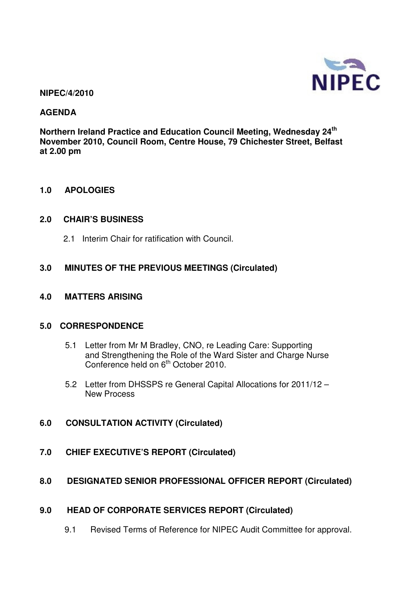

#### **NIPEC/4/2010**

### **AGENDA**

**Northern Ireland Practice and Education Council Meeting, Wednesday 24th November 2010, Council Room, Centre House, 79 Chichester Street, Belfast at 2.00 pm** 

#### **1.0 APOLOGIES**

#### **2.0 CHAIR'S BUSINESS**

2.1 Interim Chair for ratification with Council.

## **3.0 MINUTES OF THE PREVIOUS MEETINGS (Circulated)**

#### **4.0 MATTERS ARISING**

#### **5.0 CORRESPONDENCE**

- 5.1 Letter from Mr M Bradley, CNO, re Leading Care: Supporting and Strengthening the Role of the Ward Sister and Charge Nurse Conference held on 6<sup>th</sup> October 2010.
- 5.2 Letter from DHSSPS re General Capital Allocations for 2011/12 New Process
- **6.0 CONSULTATION ACTIVITY (Circulated)**
- **7.0 CHIEF EXECUTIVE'S REPORT (Circulated)**

#### **8.0 DESIGNATED SENIOR PROFESSIONAL OFFICER REPORT (Circulated)**

#### **9.0 HEAD OF CORPORATE SERVICES REPORT (Circulated)**

9.1 Revised Terms of Reference for NIPEC Audit Committee for approval.